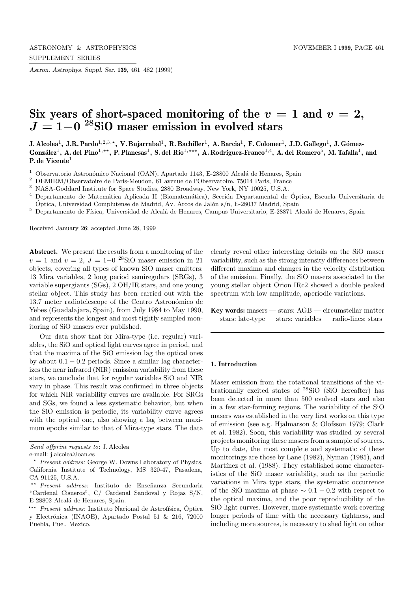*Astron. Astrophys. Suppl. Ser.* **139**, 461–482 (1999)

# Six years of short-spaced monitoring of the  $v = 1$  and  $v = 2$ , *<sup>J</sup>* **= 1***−***<sup>0</sup> <sup>28</sup>SiO maser emission in evolved stars**

**J. Alcolea**<sup>1</sup>**, J.R. Pardo**<sup>1</sup>,2,3,?**, V. Bujarrabal**<sup>1</sup>**, R. Bachiller**<sup>1</sup>**, A. Barcia**<sup>1</sup>**, F. Colomer**<sup>1</sup>**, J.D. Gallego**<sup>1</sup>**, J. G´omez-**González<sup>1</sup>, A. del Pino<sup>1,\*\*</sup>, P. Planesas<sup>1</sup>, S. del Río<sup>1,\*\*\*</sup>, A. Rodríguez-Franco<sup>1,4</sup>, A. del Romero<sup>5</sup>, M. Tafalla<sup>1</sup>, and **P. de Vicente**<sup>1</sup>

0bservatorio Astronómico Nacional (OAN), Apartado 1143, E-28800 Alcalá de Henares, Spain

 $^2$  DEMIRM/Observatoire de Paris-Meudon, 61 avenue de l'Observatoire, 75014 Paris, France

<sup>3</sup> NASA-Goddard Institute for Space Studies, 2880 Broadway, New York, NY 10025, U.S.A.

 $4$  Departamento de Matemática Aplicada II (Biomatemática), Sección Departamental de Óptica, Escuela Universitaria de Óptica, Universidad Complutense de Madrid, Av. Arcos de Jalón s/n, E-28037 Madrid, Spain

 $^5\,$  Departamento de Física, Universidad de Alcalá de Henares, Campus Universitario, E-28871 Alcalá de Henares, Spain

Received January 26; accepted June 28, 1999

**Abstract.** We present the results from a monitoring of the  $v = 1$  and  $v = 2$ ,  $J = 1-0$  <sup>28</sup>SiO maser emission in 21 objects, covering all types of known SiO maser emitters: 13 Mira variables, 2 long period semiregulars (SRGs), 3 variable supergiants (SGs), 2 OH/IR stars, and one young stellar object. This study has been carried out with the 13.7 meter radiotelescope of the Centro Astronómico de Yebes (Guadalajara, Spain), from July 1984 to May 1990, and represents the longest and most tightly sampled monitoring of SiO masers ever published.

Our data show that for Mira-type (i.e. regular) variables, the SiO and optical light curves agree in period, and that the maxima of the SiO emission lag the optical ones by about  $0.1 - 0.2$  periods. Since a similar lag characterizes the near infrared (NIR) emission variability from these stars, we conclude that for regular variables SiO and NIR vary in phase. This result was confirmed in three objects for which NIR variability curves are available. For SRGs and SGs, we found a less systematic behavior, but when the SiO emission is periodic, its variability curve agrees with the optical one, also showing a lag between maximum epochs similar to that of Mira-type stars. The data clearly reveal other interesting details on the SiO maser variability, such as the strong intensity differences between different maxima and changes in the velocity distribution of the emission. Finally, the SiO masers associated to the young stellar object Orion IRc2 showed a double peaked spectrum with low amplitude, aperiodic variations.

**Key words:** masers — stars: AGB — circumstellar matter — stars: late-type — stars: variables — radio-lines: stars

#### **1. Introduction**

Maser emission from the rotational transitions of the vibrationally excited states of <sup>28</sup>SiO (SiO hereafter) has been detected in more than 500 evolved stars and also in a few star-forming regions. The variability of the SiO masers was established in the very first works on this type of emission (see e.g. Hjalmarson & Olofsson 1979; Clark et al. 1982). Soon, this variability was studied by several projects monitoring these masers from a sample of sources. Up to date, the most complete and systematic of these monitorings are those by Lane (1982), Nyman (1985), and Martínez et al. (1988). They established some characteristics of the SiO maser variability, such as the periodic variations in Mira type stars, the systematic occurrence of the SiO maxima at phase  $\sim 0.1 - 0.2$  with respect to the optical maxima, and the poor reproducibility of the SiO light curves. However, more systematic work covering longer periods of time with the necessary tightness, and including more sources, is necessary to shed light on other

Send offprint requests to: J. Alcolea e-mail: j.alcolea@oan.es

<sup>?</sup> Present address: George W. Downs Laboratory of Physics, California Institute of Technology, MS 320-47, Pasadena, CA 91125, U.S.A.

<sup>\*\*</sup> Present address: Instituto de Enseñanza Secundaria "Cardenal Cisneros", C/ Cardenal Sandoval y Rojas S/N, E-28802 Alcalá de Henares, Spain.

<sup>\*\*\*</sup> *Present address:* Instituto Nacional de Astrofísica, Óptica y Electrónica (INAOE), Apartado Postal 51 & 216, 72000 Puebla, Pue., Mexico.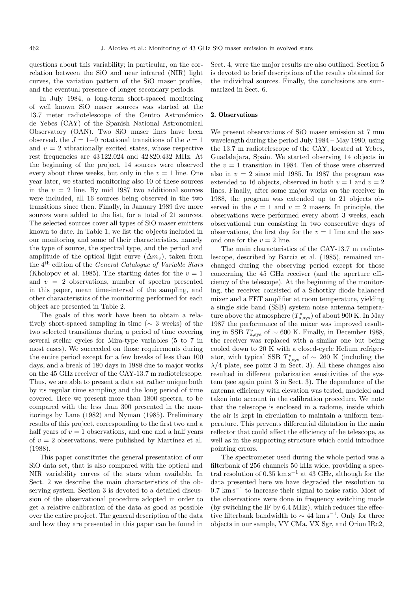questions about this variability; in particular, on the correlation between the SiO and near infrared (NIR) light curves, the variation pattern of the SiO maser profiles, and the eventual presence of longer secondary periods.

In July 1984, a long-term short-spaced monitoring of well known SiO maser sources was started at the 13.7 meter radiotelescope of the Centro Astronómico de Yebes (CAY) of the Spanish National Astronomical Observatory (OAN). Two SiO maser lines have been observed, the  $J = 1-0$  rotational transitions of the  $v = 1$ and  $v = 2$  vibrationally excited states, whose respective rest frequencies are 43 122.024 and 42 820.432 MHz. At the beginning of the project, 14 sources were observed every about three weeks, but only in the  $v = 1$  line. One year later, we started monitoring also 10 of these sources in the  $v = 2$  line. By mid 1987 two additional sources were included, all 16 sources being observed in the two transitions since then. Finally, in January 1989 five more sources were added to the list, for a total of 21 sources. The selected sources cover all types of SiO maser emitters known to date. In Table 1, we list the objects included in our monitoring and some of their characteristics, namely the type of source, the spectral type, and the period and amplitude of the optical light curve  $(\Delta m_v)$ , taken from the 4th edition of the General Catalogue of Variable Stars (Kholopov et al. 1985). The starting dates for the  $v = 1$ and  $v = 2$  observations, number of spectra presented in this paper, mean time-interval of the sampling, and other characteristics of the monitoring performed for each object are presented in Table 2.

The goals of this work have been to obtain a relatively short-spaced sampling in time (∼ 3 weeks) of the two selected transitions during a period of time covering several stellar cycles for Mira-type variables (5 to 7 in most cases). We succeeded on those requirements during the entire period except for a few breaks of less than 100 days, and a break of 180 days in 1988 due to major works on the 45 GHz receiver of the CAY-13.7 m radiotelescope. Thus, we are able to present a data set rather unique both by its regular time sampling and the long period of time covered. Here we present more than 1800 spectra, to be compared with the less than 300 presented in the monitorings by Lane (1982) and Nyman (1985). Preliminary results of this project, corresponding to the first two and a half years of  $v = 1$  observations, and one and a half years of  $v = 2$  observations, were published by Martínez et al. (1988).

This paper constitutes the general presentation of our SiO data set, that is also compared with the optical and NIR variability curves of the stars when available. In Sect. 2 we describe the main characteristics of the observing system. Section 3 is devoted to a detailed discussion of the observational procedure adopted in order to get a relative calibration of the data as good as possible over the entire project. The general description of the data and how they are presented in this paper can be found in Sect. 4, were the major results are also outlined. Section 5 is devoted to brief descriptions of the results obtained for the individual sources. Finally, the conclusions are summarized in Sect. 6.

#### **2. Observations**

We present observations of SiO maser emission at 7 mm wavelength during the period July 1984 – May 1990, using the 13.7 m radiotelescope of the CAY, located at Yebes, Guadalajara, Spain. We started observing 14 objects in the  $v = 1$  transition in 1984. Ten of those were observed also in  $v = 2$  since mid 1985. In 1987 the program was extended to 16 objects, observed in both  $v = 1$  and  $v = 2$ lines. Finally, after some major works on the receiver in 1988, the program was extended up to 21 objects observed in the  $v = 1$  and  $v = 2$  masers. In principle, the observations were performed every about 3 weeks, each observational run consisting in two consecutive days of observations, the first day for the  $v = 1$  line and the second one for the  $v = 2$  line.

The main characteristics of the CAY-13.7 m radiotelescope, described by Barcia et al. (1985), remained unchanged during the observing period except for those concerning the 45 GHz receiver (and the aperture efficiency of the telescope). At the beginning of the monitoring, the receiver consisted of a Schottky diode balanced mixer and a FET amplifier at room temperature, yielding a single side band (SSB) system noise antenna temperature above the atmosphere  $(T_{\text{a,sys}}^{\star})$  of about 900 K. In May 1987 the performance of the mixer was improved resulting in SSB  $T_{\text{a,sys}}^{\star}$  of  $\sim$  600 K. Finally, in December 1988, the receiver was replaced with a similar one but being cooled down to 20 K with a closed-cycle Helium refrigerator, with typical SSB  $T_{a,\text{sys}}^{\star}$  of  $\sim$  260 K (including the  $\lambda/4$  plate, see point 3 in Sect. 3). All these changes also resulted in different polarization sensitivities of the system (see again point 3 in Sect. 3). The dependence of the antenna efficiency with elevation was tested, modeled and taken into account in the calibration procedure. We note that the telescope is enclosed in a radome, inside which the air is kept in circulation to maintain a uniform temperature. This prevents differential dilatation in the main reflector that could affect the efficiency of the telescope, as well as in the supporting structure which could introduce pointing errors.

The spectrometer used during the whole period was a filterbank of 256 channels 50 kHz wide, providing a spectral resolution of  $0.35~{\rm km \, s^{-1}}$  at 43 GHz, although for the data presented here we have degraded the resolution to 0.7 km s−<sup>1</sup> to increase their signal to noise ratio. Most of the observations were done in frequency switching mode (by switching the IF by 6.4 MHz), which reduces the effective filterbank bandwidth to  $\sim 44 \text{ km s}^{-1}$ . Only for three objects in our sample, VY CMa, VX Sgr, and Orion IRc2,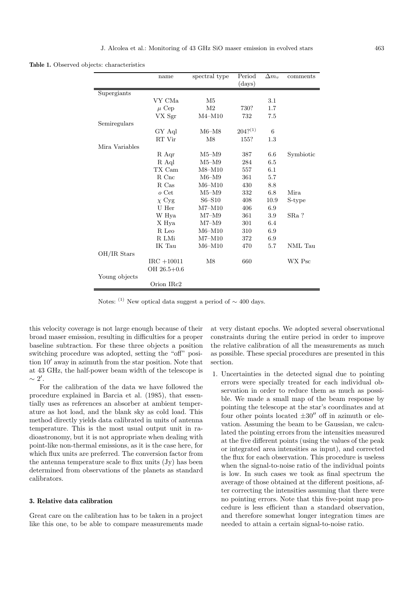**Table 1.** Observed objects: characteristics

|                | name            | spectral type  | Period       | $\Delta m_v$ | comments  |
|----------------|-----------------|----------------|--------------|--------------|-----------|
|                |                 |                | (days)       |              |           |
| Supergiants    |                 |                |              |              |           |
|                | VY CMa          | M5             |              | 3.1          |           |
|                | $\mu$ Cep       | M <sub>2</sub> | 730?         | 1.7          |           |
|                | VX Sgr          | $M4 - M10$     | 732          | 7.5          |           |
| Semiregulars   |                 |                |              |              |           |
|                | GY Aql          | M6–M8          | $204?^{(1)}$ | 6            |           |
|                | RT Vir          | M8             | 155?         | 1.3          |           |
| Mira Variables |                 |                |              |              |           |
|                | R Aqr           | M5–M9          | 387          | 6.6          | Symbiotic |
|                | R Aql           | M5–M9          | 284          | 6.5          |           |
|                | TX Cam          | $M8 - M10$     | 557          | 6.1          |           |
|                | R Cnc           | $M6-M9$        | 361          | 5.7          |           |
|                | R. Cas          | M6–M10         | 430          | 8.8          |           |
|                | $o$ Cet         | $M5-M9$        | 332          | 6.8          | Mira      |
|                | $\chi$ Cyg      | $S6 - S10$     | 408          | 10.9         | S-type    |
|                | ${\rm U~Her}$   | $M7 - M10$     | 406          | 6.9          |           |
|                | W Hya           | $M7-M9$        | 361          | 3.9          | SRa ?     |
|                | X Hya           | $M7-M9$        | 301          | 6.4          |           |
|                | R Leo           | $M6-M10$       | 310          | 6.9          |           |
|                | R LMi           | $M7 - M10$     | 372          | 6.9          |           |
|                | IK Tau          | $M6 - M10$     | 470          | 5.7          | NML Tau   |
| OH/IR Stars    |                 |                |              |              |           |
|                | $IRC + 10011$   | M8             | 660          |              | WX Psc    |
|                | $OH 26.5 + 0.6$ |                |              |              |           |
| Young objects  |                 |                |              |              |           |
|                | Orion IRc2      |                |              |              |           |

Notes: <sup>(1)</sup> New optical data suggest a period of  $\sim$  400 days.

this velocity coverage is not large enough because of their broad maser emission, resulting in difficulties for a proper baseline subtraction. For these three objects a position switching procedure was adopted, setting the "off" position  $10<sup>7</sup>$  away in azimuth from the star position. Note that at 43 GHz, the half-power beam width of the telescope is  $\sim 2'.$ 

For the calibration of the data we have followed the procedure explained in Barcia et al. (1985), that essentially uses as references an absorber at ambient temperature as hot load, and the blank sky as cold load. This method directly yields data calibrated in units of antenna temperature. This is the most usual output unit in radioastronomy, but it is not appropriate when dealing with point-like non-thermal emissions, as it is the case here, for which flux units are preferred. The conversion factor from the antenna temperature scale to flux units (Jy) has been determined from observations of the planets as standard calibrators.

# **3. Relative data calibration**

Great care on the calibration has to be taken in a project like this one, to be able to compare measurements made

at very distant epochs. We adopted several observational constraints during the entire period in order to improve the relative calibration of all the measurements as much as possible. These special procedures are presented in this section.

1. Uncertainties in the detected signal due to pointing errors were specially treated for each individual observation in order to reduce them as much as possible. We made a small map of the beam response by pointing the telescope at the star's coordinates and at four other points located  $\pm 30''$  off in azimuth or elevation. Assuming the beam to be Gaussian, we calculated the pointing errors from the intensities measured at the five different points (using the values of the peak or integrated area intensities as input), and corrected the flux for each observation. This procedure is useless when the signal-to-noise ratio of the individual points is low. In such cases we took as final spectrum the average of those obtained at the different positions, after correcting the intensities assuming that there were no pointing errors. Note that this five-point map procedure is less efficient than a standard observation, and therefore somewhat longer integration times are needed to attain a certain signal-to-noise ratio.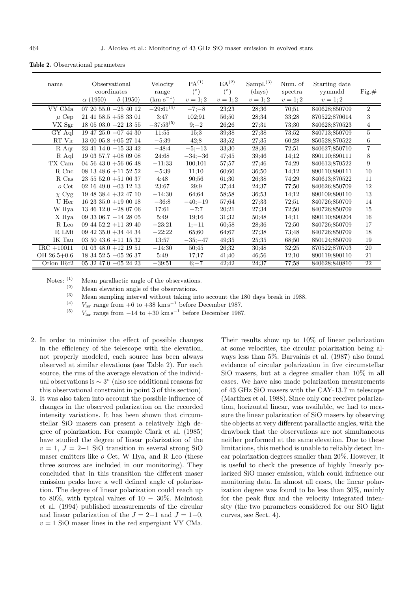| name                | Observational<br>coordinates<br>$\delta(1950)$<br>$\alpha$ (1950) | Velocity<br>range<br>$(km s^{-1})$ | PA <sup>(1)</sup><br>$(^\circ)$<br>$v = 1; 2$ | EA <sup>(2)</sup><br>$(^\circ)$<br>$v = 1; 2$ | Sampl. $(3)$<br>$\rm (days)$<br>$v=1;2$ | Num. of<br>spectra<br>$v=1;2$ | Starting date<br>yymmdd<br>$v=1;2$ | $Fig. \#$        |
|---------------------|-------------------------------------------------------------------|------------------------------------|-----------------------------------------------|-----------------------------------------------|-----------------------------------------|-------------------------------|------------------------------------|------------------|
| VY CMa              | $072055.0 - 254012$                                               | $-29:61^{(4)}$                     | $-7, -8$                                      | 23:23                                         | 28;36                                   | 70;51                         | 840628;850709                      | $\overline{2}$   |
| $\mu$ Cep           | $21\;41\;58.5\;+58\;33\;01$                                       | 3:47                               | 102;91                                        | 56;50                                         | 28;34                                   | 33;28                         | 870522;870614                      | 3                |
| VX Sgr              | $18$ 05 03.0 $-22$ 13 55                                          | $-37:53^{(5)}$                     | $9 - 2$                                       | 26;26                                         | 27;31                                   | 73;30                         | 840628;870523                      | 4                |
| $\overline{G}Y$ Aql | $19\;47\;25.0\;-07\;44\;30$                                       | 11:55                              | 15;3                                          | 39:38                                         | 27;38                                   | 73:52                         | 840713;850709                      | $\overline{5}$   |
| RT Vir              | $13\ 00\ 05.8\ +05\ 27\ 14$                                       | $-5:39$                            | 42;8                                          | 33;52                                         | 27;35                                   | 60;28                         | 850528;870522                      | 6                |
| R Aqr               | $23\;41\;14.0\;-15\;33\;42$                                       | $-48:4$                            | $-5, -13$                                     | 33;30                                         | 28;36                                   | 72;51                         | 840627;850710                      | $\overline{7}$   |
| R Aql               | 19 03 57.7 +08 09 08                                              | 24:68                              | $-34; -36$                                    | 47;45                                         | 39;46                                   | 14;12                         | 890110:890111                      | 8                |
| TX Cam              | 04 56 43.0 $+56$ 06 48                                            | $-11:33$                           | 100;101                                       | 57;57                                         | 27;46                                   | 74;29                         | 840613;870522                      | $\boldsymbol{9}$ |
| R Cnc               | $08$ 13 48.6 +11 52 52                                            | $-5:39$                            | 11;10                                         | 60:60                                         | 36;50                                   | 14;12                         | 890110;890111                      | 10               |
| R Cas               | $23\ 55\ 52.0\ +51\ 06\ 37$                                       | 4:48                               | 90:56                                         | 61;30                                         | 26;38                                   | 74;29                         | 840613;870522                      | 11               |
| $o$ Cet             | $02\ 16\ 49.0\ -03\ 12\ 13$                                       | 23:67                              | 29;9                                          | 37;44                                         | 24;37                                   | 77;50                         | 840626;850709                      | 12               |
| $\chi$ Cyg          | $19$ 48 38.4 $+32$ 47 10                                          | $-14:30$                           | 64;64                                         | 58;58                                         | 36;53                                   | 14;12                         | 890109:890110                      | 13               |
| U Her               | $162335.0 + 190018$                                               | $-36:8$                            | $-40:-19$                                     | 57;64                                         | 27:33                                   | 72;51                         | 840726;850709                      | 14               |
| W Hya               | $13\;46\;12.0\;-28\;07\;06$                                       | 17:61                              | $-7;7$                                        | 20;21                                         | 27;34                                   | 72;50                         | 840726;850709                      | 15               |
| X Hya               | 09 33 06.7 $-14$ 28 05                                            | 5:49                               | 19;16                                         | 31;32                                         | 50;48                                   | 14;11                         | 890110;890204                      | 16               |
| R Leo               | 09 44 52.2 +11 39 40                                              | $-23:21$                           | $1;-11$                                       | 60;58                                         | 28;36                                   | 72;50                         | 840726;850709                      | 17               |
| R LMi               | 09 42 35.0 + 34 44 34                                             | $-22:22$                           | 65;60                                         | 64;67                                         | 27;38                                   | 73;48                         | 840726;850709                      | 18               |
| IK Tau              | $03\ 50\ 43.6\ +11\ 15\ 32$                                       | 13:57                              | $-35; -47$                                    | 49;35                                         | 25;35                                   | 68;50                         | 850124;850709                      | 19               |
| $IRC + 10011$       | 01 03 48.0 $+12$ 19 51                                            | $-14:30$                           | 50:45                                         | 26:32                                         | 30:48                                   | 32:25                         | 870522;870703                      | 20               |
| $OH 26.5 + 0.6$     | $183452.5 - 052637$                                               | 5:49                               | 17:17                                         | 41;40                                         | 46;56                                   | 12:10                         | 890119;890110                      | 21               |
| Orion IRc2          | $053247.0 -052423$                                                | $-39:51$                           | $6 - 7$                                       | 42;42                                         | 24;37                                   | 77:58                         | 840628;840810                      | 22               |

**Table 2.** Observational parameters

Notes:  $\begin{pmatrix} 1 \\ 2 \end{pmatrix}$  Mean parallactic angle of the observations.

Mean elevation angle of the observations.

(3) Mean sampling interval without taking into account the 180 days break in 1988.<br>
(4)  $V_{\text{r}}$  range from  $\pm 6$  to  $\pm 38$  km s<sup>-1</sup> before December 1987

(4)  $V_{\text{lsr}}$  range from  $+6$  to  $+38 \text{ km s}^{-1}$  before December 1987.<br>
(5)  $V_{\text{r}}$  range from  $-14$  to  $+20 \text{ km s}^{-1}$  before December 1987.

 $V_{\text{lsr}}$  range from  $-14$  to  $+30 \text{ km s}^{-1}$  before December 1987.

- 2. In order to minimize the effect of possible changes in the efficiency of the telescope with the elevation, not properly modeled, each source has been always observed at similar elevations (see Table 2). For each source, the rms of the average elevation of the individual observations is  $\sim 3^{\circ}$  (also see additional reasons for this observational constraint in point 3 of this section).
- 3. It was also taken into account the possible influence of changes in the observed polarization on the recorded intensity variations. It has been shown that circumstellar SiO masers can present a relatively high degree of polarization. For example Clark et al. (1985) have studied the degree of linear polarization of the  $v = 1, J = 2-1$  SiO transition in several strong SiO maser emitters like o Cet, W Hya, and R Leo (these three sources are included in our monitoring). They concluded that in this transition the different maser emission peaks have a well defined angle of polarization. The degree of linear polarization could reach up to 80%, with typical values of  $10 - 30\%$ . McIntosh et al. (1994) published measurements of the circular and linear polarization of the  $J = 2-1$  and  $J = 1-0$ ,  $v = 1$  SiO maser lines in the red supergiant VY CMa.

Their results show up to 10% of linear polarization at some velocities, the circular polarization being always less than 5%. Barvainis et al. (1987) also found evidence of circular polarization in five circumstellar SiO masers, but at a degree smaller than 10% in all cases. We have also made polarization measurements of 43 GHz SiO masers with the CAY-13.7 m telescope (Martínez et al. 1988). Since only one receiver polarization, horizontal linear, was available, we had to measure the linear polarization of SiO masers by observing the objects at very different parallactic angles, with the drawback that the observations are not simultaneous neither performed at the same elevation. Due to these limitations, this method is unable to reliably detect linear polarization degrees smaller than 20%. However, it is useful to check the presence of highly linearly polarized SiO maser emission, which could influence our monitoring data. In almost all cases, the linear polarization degree was found to be less than 30%, mainly for the peak flux and the velocity integrated intensity (the two parameters considered for our SiO light curves, see Sect. 4).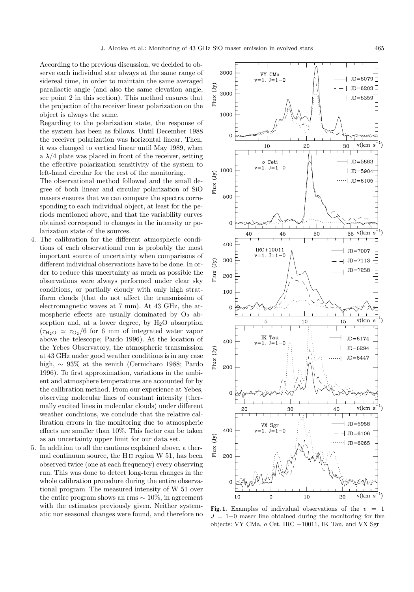According to the previous discussion, we decided to observe each individual star always at the same range of sidereal time, in order to maintain the same averaged parallactic angle (and also the same elevation angle, see point 2 in this section). This method ensures that the projection of the receiver linear polarization on the object is always the same.

Regarding to the polarization state, the response of the system has been as follows. Until December 1988 the receiver polarization was horizontal linear. Then, it was changed to vertical linear until May 1989, when a  $\lambda/4$  plate was placed in front of the receiver, setting the effective polarization sensitivity of the system to left-hand circular for the rest of the monitoring.

The observational method followed and the small degree of both linear and circular polarization of SiO masers ensures that we can compare the spectra corresponding to each individual object, at least for the periods mentioned above, and that the variability curves obtained correspond to changes in the intensity or polarization state of the sources.

- 4. The calibration for the different atmospheric conditions of each observational run is probably the most important source of uncertainty when comparisons of different individual observations have to be done. In order to reduce this uncertainty as much as possible the observations were always performed under clear sky conditions, or partially cloudy with only high stratiform clouds (that do not affect the transmission of electromagnetic waves at 7 mm). At 43 GHz, the atmospheric effects are usually dominated by  $O_2$  absorption and, at a lower degree, by  $H_2O$  absorption  $(\tau_{\text{H}_2O} \simeq \tau_{\text{O}_2}/6$  for 6 mm of integrated water vapor above the telescope; Pardo 1996). At the location of the Yebes Observatory, the atmospheric transmission at 43 GHz under good weather conditions is in any case high, ∼ 93% at the zenith (Cernicharo 1988; Pardo 1996). To first approximation, variations in the ambient and atmosphere temperatures are accounted for by the calibration method. From our experience at Yebes, observing molecular lines of constant intensity (thermally excited lines in molecular clouds) under different weather conditions, we conclude that the relative calibration errors in the monitoring due to atmospheric effects are smaller than 10%. This factor can be taken as an uncertainty upper limit for our data set.
- 5. In addition to all the cautions explained above, a thermal continuum source, the H ii region W 51, has been observed twice (one at each frequency) every observing run. This was done to detect long-term changes in the whole calibration procedure during the entire observational program. The measured intensity of W 51 over the entire program shows an rms  $\sim 10\%$ , in agreement with the estimates previously given. Neither systemwith the estimates previously given. Neither system-<br>atic nor seasonal changes were found, and therefore no  $I = 1-0$  maser line obtained during the monitoring for five



 $J = 1-0$  maser line obtained during the monitoring for five objects: VY CMa, o Cet, IRC +10011, IK Tau, and VX Sgr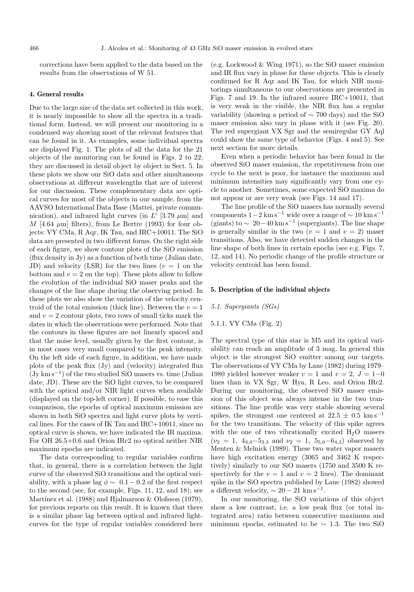corrections have been applied to the data based on the results from the observations of W 51.

#### **4. General results**

Due to the large size of the data set collected in this work, it is nearly impossible to show all the spectra in a traditional form. Instead, we will present our monitoring in a condensed way showing most of the relevant features that can be found in it. As examples, some individual spectra are displayed Fig. 1. The plots of all the data for the 21 objects of the monitoring can be found in Figs. 2 to 22; they are discussed in detail object by object in Sect. 5. In these plots we show our SiO data and other simultaneous observations at different wavelengths that are of interest for our discussion. These complementary data are optical curves for most of the objects in our sample, from the AAVSO International Data Base (Mattei, private communication), and infrared light curves (in  $L'$  [3.79  $\mu$ m] and  $M$  [4.64  $\mu$ m] filters), from Le Bertre (1993) for four objects: VY CMa, R Aqr, IK Tau, and IRC+10011. The SiO data are presented in two different forms. On the right side of each figure, we show contour plots of the SiO emission (flux density in Jy) as a function of both time (Julian date, JD) and velocity (LSR) for the two lines ( $v = 1$  on the bottom and  $v = 2$  on the top). These plots allow to follow the evolution of the individual SiO maser peaks and the changes of the line shape during the observing period. In these plots we also show the variation of the velocity centroid of the total emission (thick line). Between the  $v = 1$ and  $v = 2$  contour plots, two rows of small ticks mark the dates in which the observations were performed. Note that the contours in these figures are not linearly spaced and that the noise level, usually given by the first contour, is in most cases very small compared to the peak intensity. On the left side of each figure, in addition, we have made plots of the peak flux (Jy) and (velocity) integrated flux  $(Jy \text{ km s}^{-1})$  of the two studied SiO masers vs. time (Julian date, JD). These are the SiO light curves, to be compared with the optical and/or NIR light curves when available (displayed on the top-left corner). If possible, to ease this comparison, the epochs of optical maximum emission are shown in both SiO spectra and light curve plots by vertical lines. For the cases of IK Tau and IRC+10011, since no optical curve is shown, we have indicated the IR maxima. For OH 26.5+0.6 and Orion IRc2 no optical neither NIR maximum epochs are indicated.

The data corresponding to regular variables confirm that, in general, there is a correlation between the light curve of the observed SiO transitions and the optical variability, with a phase lag  $\phi \sim 0.1 - 0.2$  of the first respect to the second (see, for example, Figs. 11, 12, and 18); see Martínez et al. (1988) and Hjalmarson  $&$  Olofsson (1979), for previous reports on this result. It is known that there is a similar phase lag between optical and infrared lightcurves for the type of regular variables considered here (e.g. Lockwood & Wing 1971), so the SiO maser emission and IR flux vary in phase for these objects. This is clearly confirmed for R Aqr and IK Tau, for which NIR monitorings simultaneous to our observations are presented in Figs. 7 and 19. In the infrared source IRC+10011, that is very weak in the visible, the NIR flux has a regular variability (showing a period of ∼ 700 days) and the SiO maser emission also vary in phase with it (see Fig. 20). The red supergiant VX Sgr and the semiregular GY Aql could show the same type of behavior (Figs. 4 and 5). See next section for more details.

Even when a periodic behavior has been found in the observed SiO maser emission, the repetitiveness from one cycle to the next is poor, for instance the maximum and minimum intensities may significantly vary from one cycle to another. Sometimes, some expected SiO maxima do not appear or are very weak (see Figs. 14 and 17).

The line profile of the SiO masers has normally several components  $1-2 \text{ km s}^{-1}$  wide over a range of  $\sim 10 \text{ km s}^{-1}$ (giants) to  $\sim 20-40$  km s<sup>-1</sup> (supergiants). The line shape is generally similar in the two  $(v = 1$  and  $v = 2)$  maser transitions. Also, we have detected sudden changes in the line shape of both lines in certain epochs (see e.g. Figs. 7, 12, and 14). No periodic change of the profile structure or velocity centroid has been found.

#### **5. Description of the individual objects**

#### 5.1. Supergiants (SGs)

# 5.1.1. VY CMa (Fig. 2)

The spectral type of this star is M5 and its optical variability can reach an amplitude of 3 mag. In general this object is the strongest SiO emitter among our targets. The observations of VY CMa by Lane (1982) during 1979– 1980 yielded however weaker  $v = 1$  and  $v = 2$ ,  $J = 1-0$ lines than in VX Sgr, W Hya, R Leo, and Orion IRc2. During our monitoring, the observed SiO maser emission of this object was always intense in the two transitions. The line profile was very stable showing several spikes, the strongest one centered at  $22.5 \pm 0.5$  km s<sup>-1</sup> for the two transitions. The velocity of this spike agrees with the one of two vibrationally excited  $H_2O$  masers  $(\nu_2 = 1, 4_{4,0} - 5_{3,3} \text{ and } \nu_2 = 1, 5_{5,0} - 6_{4,3})$  observed by Menten & Melnick (1989). These two water vapor masers have high excitation energy (3065 and 3462 K respectively) similarly to our SiO masers (1750 and 3500 K respectively for the  $v = 1$  and  $v = 2$  lines). The dominant spike in the SiO spectra published by Lane (1982) showed a different velocity,  $\sim 20 - 21$  km s<sup>-1</sup>.

In our monitoring, the SiO variations of this object show a low contrast, i.e. a low peak flux (or total integrated area) ratio between consecutive maximum and minimum epochs, estimated to be  $\sim$  1.3. The two SiO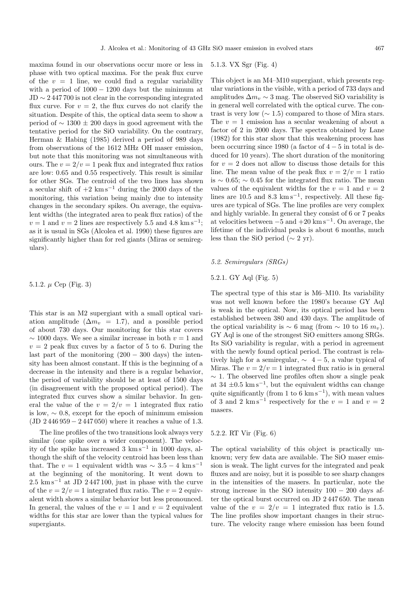maxima found in our observations occur more or less in phase with two optical maxima. For the peak flux curve of the  $v = 1$  line, we could find a regular variability with a period of  $1000 - 1200$  days but the minimum at  $JD \sim 2447700$  is not clear in the corresponding integrated flux curve. For  $v = 2$ , the flux curves do not clarify the situation. Despite of this, the optical data seem to show a period of  $\sim$  1300 ± 200 days in good agreement with the tentative period for the SiO variability. On the contrary, Herman & Habing (1985) derived a period of 989 days from observations of the 1612 MHz OH maser emission, but note that this monitoring was not simultaneous with ours. The  $v = 2/v = 1$  peak flux and integrated flux ratios are low: 0.65 and 0.55 respectively. This result is similar for other SGs. The centroid of the two lines has shown a secular shift of  $+2 \text{ km s}^{-1}$  during the 2000 days of the monitoring, this variation being mainly due to intensity changes in the secondary spikes. On average, the equivalent widths (the integrated area to peak flux ratios) of the  $v = 1$  and  $v = 2$  lines are respectively 5.5 and 4.8 km s<sup>-1</sup>; as it is usual in SGs (Alcolea et al. 1990) these figures are significantly higher than for red giants (Miras or semiregulars).

5.1.2.  $\mu$  Cep (Fig. 3)

This star is an M2 supergiant with a small optical variation amplitude  $(\Delta m_v = 1.7)$ , and a possible period of about 730 days. Our monitoring for this star covers  $\sim$  1000 days. We see a similar increase in both  $v = 1$  and  $v = 2$  peak flux cuves by a factor of 5 to 6. During the last part of the monitoring  $(200 - 300 \text{ days})$  the intensity has been almost constant. If this is the beginning of a decrease in the intensity and there is a regular behavior, the period of variability should be at least of 1500 days (in disagreement with the proposed optical period). The integrated flux curves show a similar behavior. In general the value of the  $v = 2/v = 1$  integrated flux ratio is low,  $\sim$  0.8, except for the epoch of minimum emission (JD 2 446 959 − 2 447 050) where it reaches a value of 1.3.

The line profiles of the two transitions look always very similar (one spike over a wider component). The velocity of the spike has increased 3 km s<sup> $-1$ </sup> in 1000 days, although the shift of the velocity centroid has been less than that. The  $v = 1$  equivalent width was  $\sim 3.5 - 4$  km s<sup>-1</sup> at the beginning of the monitoring. It went down to  $2.5 \text{ km s}^{-1}$  at JD 2447100, just in phase with the curve of the  $v = 2/v = 1$  integrated flux ratio. The  $v = 2$  equivalent width shows a similar behavior but less pronounced. In general, the values of the  $v = 1$  and  $v = 2$  equivalent widths for this star are lower than the typical values for supergiants.

# 5.1.3. VX Sgr (Fig. 4)

This object is an M4–M10 supergiant, which presents regular variations in the visible, with a period of 733 days and amplitudes  $\Delta m_v \sim 3$  mag. The observed SiO variability is in general well correlated with the optical curve. The contrast is very low ( $\sim$  1.5) compared to those of Mira stars. The  $v = 1$  emission has a secular weakening of about a factor of 2 in 2000 days. The spectra obtained by Lane (1982) for this star show that this weakening process has been occurring since 1980 (a factor of  $4-5$  in total is deduced for 10 years). The short duration of the monitoring for  $v = 2$  does not allow to discuss those details for this line. The mean value of the peak flux  $v = 2/v = 1$  ratio is  $\sim 0.65$ ;  $\sim 0.45$  for the integrated flux ratio. The mean values of the equivalent widths for the  $v = 1$  and  $v = 2$ lines are 10.5 and  $8.3 \text{ km s}^{-1}$ , respectively. All these figures are typical of SGs. The line profiles are very complex and highly variable. In general they consist of 6 or 7 peaks at velocities between  $-5$  and  $+20$  km s<sup>-1</sup>. On average, the lifetime of the individual peaks is about 6 months, much less than the SiO period ( $\sim 2$  yr).

# 5.2. Semiregulars (SRGs)

# 5.2.1. GY Aql (Fig. 5)

The spectral type of this star is M6–M10. Its variability was not well known before the 1980's because GY Aql is weak in the optical. Now, its optical period has been established between 380 and 430 days. The amplitude of the optical variability is  $\sim 6$  mag (from  $\sim 10$  to 16  $m_v$ ). GY Aql is one of the strongest SiO emitters among SRGs. Its SiO variability is regular, with a period in agreement with the newly found optical period. The contrast is relatively high for a semiregular,  $\sim$  4 − 5, a value typical of Miras. The  $v = 2/v = 1$  integrated flux ratio is in general  $\sim$  1. The observed line profiles often show a single peak at  $34 \pm 0.5$  km s<sup>-1</sup>, but the equivalent widths can change quite significantly (from 1 to 6 km s<sup> $-1$ </sup>), with mean values of 3 and 2 km s<sup>-1</sup> respectively for the  $v = 1$  and  $v = 2$ masers.

## 5.2.2. RT Vir (Fig. 6)

The optical variability of this object is practically unknown; very few data are available. The SiO maser emission is weak. The light curves for the integrated and peak fluxes and are noisy, but it is possible to see sharp changes in the intensities of the masers. In particular, note the strong increase in the SiO intensity  $100 - 200$  days after the optical burst occurred on JD 2 447 650. The mean value of the  $v = 2/v = 1$  integrated flux ratio is 1.5. The line profiles show important changes in their structure. The velocity range where emission has been found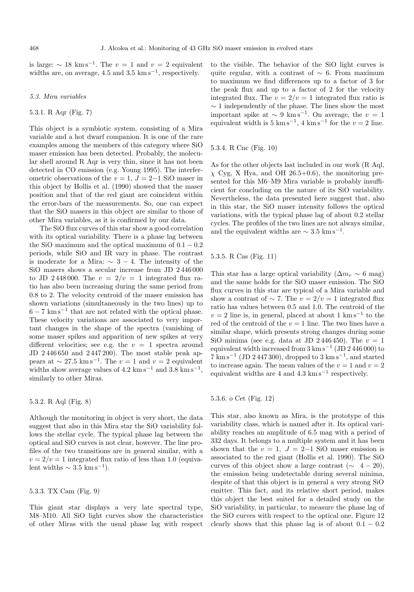is large:  $\sim 18 \text{ km s}^{-1}$ . The  $v = 1$  and  $v = 2$  equivalent widths are, on average, 4.5 and 3.5 km s<sup> $-1$ </sup>, respectively.

#### 5.3. Mira variables

# 5.3.1. R Aqr (Fig. 7)

This object is a symbiotic system, consisting of a Mira variable and a hot dwarf companion. It is one of the rare examples among the members of this category where SiO maser emission has been detected. Probably, the molecular shell around R Aqr is very thin, since it has not been detected in CO emission (e.g. Young 1995). The interferometric observations of the  $v = 1$ ,  $J = 2-1$  SiO maser in this object by Hollis et al. (1990) showed that the maser position and that of the red giant are coincident within the error-bars of the measurements. So, one can expect that the SiO masers in this object are similar to those of other Mira variables, as it is confirmed by our data.

The SiO flux curves of this star show a good correlation with its optical variability. There is a phase lag between the SiO maximum and the optical maximum of  $0.1 - 0.2$ periods, while SiO and IR vary in phase. The contrast is moderate for a Mira:  $\sim 3 - 4$ . The intensity of the SiO masers shows a secular increase from JD 2 446 000 to JD 2448000. The  $v = 2/v = 1$  integrated flux ratio has also been increasing during the same period from 0.8 to 2. The velocity centroid of the maser emission has shown variations (simultaneously in the two lines) up to  $6 - 7$  km s<sup> $-1$ </sup> that are not related with the optical phase. These velocity variations are associated to very important changes in the shape of the spectra (vanishing of some maser spikes and apparition of new spikes at very different velocities; see e.g. the  $v = 1$  spectra around JD 2 446 650 and 2 447 200). The most stable peak appears at  $\sim 27.5 \text{ km s}^{-1}$ . The  $v = 1$  and  $v = 2$  equivalent widths show average values of  $4.2 \text{ km s}^{-1}$  and  $3.8 \text{ km s}^{-1}$ , similarly to other Miras.

# 5.3.2. R Aql (Fig. 8)

Although the monitoring in object is very short, the data suggest that also in this Mira star the SiO variability follows the stellar cycle. The typical phase lag between the optical and SiO curves is not clear, however. The line profiles of the two transitions are in general similar, with a  $v = 2/v = 1$  integrated flux ratio of less than 1.0 (equivalent widths  $\sim 3.5 \text{ km s}^{-1}$ ).

#### 5.3.3. TX Cam (Fig. 9)

This giant star displays a very late spectral type, M8–M10. All SiO light curves show the characteristics of other Miras with the usual phase lag with respect to the visible. The behavior of the SiO light curves is quite regular, with a contrast of  $\sim 6$ . From maximum to maximum we find differences up to a factor of 3 for the peak flux and up to a factor of 2 for the velocity integrated flux. The  $v = 2/v = 1$  integrated flux ratio is  $\sim$  1 independently of the phase. The lines show the most important spike at  $\sim 9 \text{ km s}^{-1}$ . On average, the  $v = 1$ equivalent width is 5 km s<sup>-1</sup>, 4 km s<sup>-1</sup> for the  $v = 2$  line.

# 5.3.4. R Cnc (Fig. 10)

As for the other objects last included in our work (R Aql,  $\chi$  Cyg, X Hya, and OH 26.5+0.6), the monitoring presented for this M6–M9 Mira variable is probably insufficient for concluding on the nature of its SiO variability. Nevertheless, the data presented here suggest that, also in this star, the SiO maser intensity follows the optical variations, with the typical phase lag of about 0.2 stellar cycles. The profiles of the two lines are not always similar, and the equivalent widths are  $\sim 3.5$   $\mathrm{km \, s^{-1}}.$ 

# 5.3.5. R Cas (Fig. 11)

This star has a large optical variability  $(\Delta m_v \sim 6 \text{ mag})$ and the same holds for the SiO maser emission. The SiO flux curves in this star are typical of a Mira variable and show a contrast of  $\sim$  7. The  $v = 2/v = 1$  integrated flux ratio has values between 0.5 and 1.0. The centroid of the  $v = 2$  line is, in general, placed at about 1 km s<sup>-1</sup> to the red of the centroid of the  $v = 1$  line. The two lines have a similar shape, which presents strong changes during some SiO minima (see e.g. data at JD 2446450). The  $v = 1$ equivalent width increased from  $3 \text{ km s}^{-1}$  (JD  $2\,446\,000$ ) to  $7 \text{ km s}^{-1}$  (JD 2447300), dropped to 3 km s<sup>-1</sup>, and started to increase again. The mean values of the  $v = 1$  and  $v = 2$ equivalent widths are 4 and  $4.3 \text{ km s}^{-1}$  respectively.

#### 5.3.6. o Cet (Fig. 12)

This star, also known as Mira, is the prototype of this variability class, which is named after it. Its optical variability reaches an amplitude of 6.5 mag with a period of 332 days. It belongs to a multiple system and it has been shown that the  $v = 1$ ,  $J = 2-1$  SiO maser emission is associated to the red giant (Hollis et al. 1990). The SiO curves of this object show a large contrast ( $\sim$  4 − 20), the emission being undetectable during several minima, despite of that this object is in general a very strong SiO emitter. This fact, and its relative short period, makes this object the best suited for a detailed study on the SiO variability, in particular, to measure the phase lag of the SiO curves with respect to the optical one. Figure 12 clearly shows that this phase lag is of about  $0.1 - 0.2$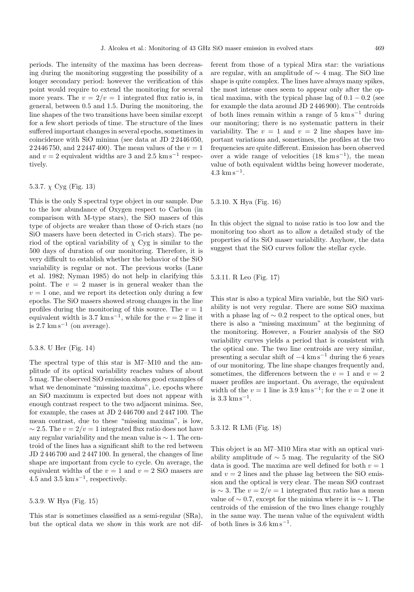periods. The intensity of the maxima has been decreasing during the monitoring suggesting the possibility of a longer secondary period: however the verification of this point would require to extend the monitoring for several more years. The  $v = 2/v = 1$  integrated flux ratio is, in general, between 0.5 and 1.5. During the monitoring, the line shapes of the two transitions have been similar except for a few short periods of time. The structure of the lines suffered important changes in several epochs, sometimes in coincidence with SiO minima (see data at JD 2 2446 050, 2 2446 750, and 2 2447 400). The mean values of the  $v = 1$ and  $v = 2$  equivalent widths are 3 and 2.5 km s<sup>-1</sup> respectively.

# 5.3.7.  $\chi$  Cyg (Fig. 13)

This is the only S spectral type object in our sample. Due to the low abundance of Oxygen respect to Carbon (in comparison with M-type stars), the SiO masers of this type of objects are weaker than those of O-rich stars (no SiO masers have been detected in C-rich stars). The period of the optical variability of  $\chi$  Cyg is similar to the 500 days of duration of our monitoring. Therefore, it is very difficult to establish whether the behavior of the SiO variability is regular or not. The previous works (Lane et al. 1982; Nyman 1985) do not help in clarifying this point. The  $v = 2$  maser is in general weaker than the  $v = 1$  one, and we report its detection only during a few epochs. The SiO masers showed strong changes in the line profiles during the monitoring of this source. The  $v = 1$ equivalent width is 3.7 km s<sup>-1</sup>, while for the  $v = 2$  line it is  $2.7 \text{ km s}^{-1}$  (on average).

#### 5.3.8. U Her (Fig. 14)

The spectral type of this star is M7–M10 and the amplitude of its optical variability reaches values of about 5 mag. The observed SiO emission shows good examples of what we denominate "missing maxima", i.e. epochs where an SiO maximum is expected but does not appear with enough contrast respect to the two adjacent minima. See, for example, the cases at JD 2 446 700 and 2 447 100. The mean contrast, due to these "missing maxima", is low,  $\sim$  2.5. The  $v = 2/v = 1$  integrated flux ratio does not have any regular variability and the mean value is  $\sim$  1. The centroid of the lines has a significant shift to the red between JD 2 446 700 and 2 447 100. In general, the changes of line shape are important from cycle to cycle. On average, the equivalent widths of the  $v = 1$  and  $v = 2$  SiO masers are 4.5 and 3.5  $\mathrm{km}\,\mathrm{s}^{-1}$ , respectively.

# 5.3.9. W Hya (Fig. 15)

This star is sometimes classified as a semi-regular (SRa), but the optical data we show in this work are not different from those of a typical Mira star: the variations are regular, with an amplitude of  $\sim$  4 mag. The SiO line shape is quite complex. The lines have always many spikes, the most intense ones seem to appear only after the optical maxima, with the typical phase lag of  $0.1 - 0.2$  (see for example the data around JD 2 446 900). The centroids of both lines remain within a range of  $5 \text{ km s}^{-1}$  during our monitoring; there is no systematic pattern in their variability. The  $v = 1$  and  $v = 2$  line shapes have important variations and, sometimes, the profiles at the two frequencies are quite different. Emission has been observed over a wide range of velocities  $(18 \text{ km s}^{-1})$ , the mean value of both equivalent widths being however moderate,  $4.3 \text{ km s}^{-1}$ .

# 5.3.10. X Hya (Fig. 16)

In this object the signal to noise ratio is too low and the monitoring too short as to allow a detailed study of the properties of its SiO maser variability. Anyhow, the data suggest that the SiO curves follow the stellar cycle.

#### 5.3.11. R Leo (Fig. 17)

This star is also a typical Mira variable, but the SiO variability is not very regular. There are some SiO maxima with a phase lag of  $\sim 0.2$  respect to the optical ones, but there is also a "missing maximum" at the beginning of the monitoring. However, a Fourier analysis of the SiO variability curves yields a period that is consistent with the optical one. The two line centroids are very similar, presenting a secular shift of  $-4 \text{ km s}^{-1}$  during the 6 years of our monitoring. The line shape changes frequently and, sometimes, the differences between the  $v = 1$  and  $v = 2$ maser profiles are important. On average, the equivalent width of the  $v = 1$  line is 3.9 km s<sup>-1</sup>; for the  $v = 2$  one it is 3.3  $\mathrm{km\,s^{-1}}.$ 

5.3.12. R LMi (Fig. 18)

This object is an M7–M10 Mira star with an optical variability amplitude of  $\sim$  5 mag. The regularity of the SiO data is good. The maxima are well defined for both  $v = 1$ and  $v = 2$  lines and the phase lag between the SiO emission and the optical is very clear. The mean SiO contrast is ∼ 3. The  $v = 2/v = 1$  integrated flux ratio has a mean value of  $\sim 0.7$ , except for the minima where it is  $\sim 1$ . The centroids of the emission of the two lines change roughly in the same way. The mean value of the equivalent width of both lines is  $3.6 \text{ km s}^{-1}$ .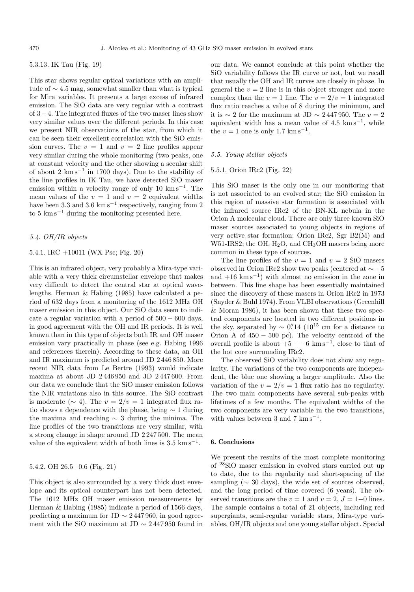# 5.3.13. IK Tau (Fig. 19)

This star shows regular optical variations with an amplitude of ∼ 4.5 mag, somewhat smaller than what is typical for Mira variables. It presents a large excess of infrared emission. The SiO data are very regular with a contrast of 3−4. The integrated fluxes of the two maser lines show very similar values over the different periods. In this case we present NIR observations of the star, from which it can be seen their excellent correlation with the SiO emission curves. The  $v = 1$  and  $v = 2$  line profiles appear very similar during the whole monitoring (two peaks, one at constant velocity and the other showing a secular shift of about 2 km s−<sup>1</sup> in 1700 days). Due to the stability of the line profiles in IK Tau, we have detected SiO maser emission within a velocity range of only 10 km s<sup> $-1$ </sup>. The mean values of the  $v = 1$  and  $v = 2$  equivalent widths have been 3.3 and 3.6 km s<sup>-1</sup> respectively, ranging from 2 to  $5 \text{ km s}^{-1}$  during the monitoring presented here.

# 5.4. OH/IR objects

# 5.4.1. IRC +10011 (WX Psc; Fig. 20)

This is an infrared object, very probably a Mira-type variable with a very thick circumstellar envelope that makes very difficult to detect the central star at optical wavelengths. Herman & Habing (1985) have calculated a period of 632 days from a monitoring of the 1612 MHz OH maser emission in this object. Our SiO data seem to indicate a regular variation with a period of  $500 - 600$  days, in good agreement with the OH and IR periods. It is well known than in this type of objects both IR and OH maser emission vary practically in phase (see e.g. Habing 1996 and references therein). According to these data, an OH and IR maximum is predicted around JD 2 446 850. More recent NIR data from Le Bertre (1993) would indicate maxima at about JD 2 446 950 and JD 2 447 600. From our data we conclude that the SiO maser emission follows the NIR variations also in this source. The SiO contrast is moderate ( $\sim$  4). The  $v = 2/v = 1$  integrated flux ratio shows a dependence with the phase, being  $\sim 1$  during the maxima and reaching ∼ 3 during the minima. The line profiles of the two transitions are very similar, with a strong change in shape around JD 2 247 500. The mean value of the equivalent width of both lines is  $3.5 \text{ km s}^{-1}$ .

# 5.4.2. OH 26.5+0.6 (Fig. 21)

This object is also surrounded by a very thick dust envelope and its optical counterpart has not been detected. The 1612 MHz OH maser emission measurements by Herman & Habing (1985) indicate a period of 1566 days, predicting a maximum for JD  $\sim 2447960$ , in good agreement with the SiO maximum at JD  $\sim 2447950$  found in our data. We cannot conclude at this point whether the SiO variability follows the IR curve or not, but we recall that usually the OH and IR curves are closely in phase. In general the  $v = 2$  line is in this object stronger and more complex than the  $v = 1$  line. The  $v = 2/v = 1$  integrated flux ratio reaches a value of 8 during the minimum, and it is  $\sim$  2 for the maximum at JD  $\sim$  2447 950. The  $v = 2$ equivalent width has a mean value of  $4.5 \text{ km s}^{-1}$ , while the  $v = 1$  one is only 1.7 km s<sup>-1</sup>.

#### 5.5. Young stellar objects

# 5.5.1. Orion IRc2 (Fig. 22)

This SiO maser is the only one in our monitoring that is not associated to an evolved star; the SiO emission in this region of massive star formation is associated with the infrared source IRc2 of the BN-KL nebula in the Orion A molecular cloud. There are only three known SiO maser sources associated to young objects in regions of very active star formation: Orion IRc2, Sgr B2(M) and W51-IRS2; the OH,  $H_2O$ , and CH<sub>3</sub>OH masers being more common in these type of sources.

The line profiles of the  $v = 1$  and  $v = 2$  SiO masers observed in Orion IRc2 show two peaks (centered at  $\sim -5$ and  $+16$  km s<sup> $-1$ </sup>) with almost no emission in the zone in between. This line shape has been essentially maintained since the discovery of these masers in Orion IRc2 in 1973 (Snyder & Buhl 1974). From VLBI observations (Greenhill & Moran 1986), it has been shown that these two spectral components are located in two different positions in the sky, separated by  $\sim$  0.''<sup>14</sup> (10<sup>15</sup> cm for a distance to Orion A of  $450 - 500$  pc). The velocity centroid of the overall profile is about  $+5 - +6$  km s<sup>-1</sup>, close to that of the hot core surrounding IRc2.

The observed SiO variability does not show any regularity. The variations of the two components are independent, the blue one showing a larger amplitude. Also the variation of the  $v = 2/v = 1$  flux ratio has no regularity. The two main components have several sub-peaks with lifetimes of a few months. The equivalent widths of the two components are very variable in the two transitions, with values between 3 and 7  $\mathrm{km s}^{-1}$ .

#### **6. Conclusions**

We present the results of the most complete monitoring of <sup>28</sup>SiO maser emission in evolved stars carried out up to date, due to the regularity and short-spacing of the sampling ( $\sim$  30 days), the wide set of sources observed, and the long period of time covered (6 years). The observed transitions are the  $v = 1$  and  $v = 2$ ,  $J = 1-0$  lines. The sample contains a total of 21 objects, including red supergiants, semi-regular variable stars, Mira-type variables, OH/IR objects and one young stellar object. Special